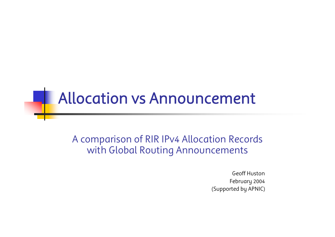## Allocation vs Announcement

A comparison of RIR IPv4 Allocation Records with Global Routing Announcements

> Geoff HustonFebruary 2004 (Supported by APNIC)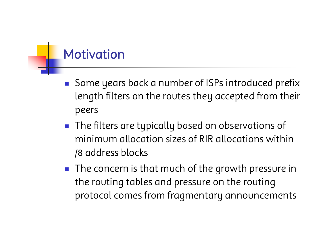#### Motivation

- $\mathcal{L}^{\text{max}}_{\text{max}}$  Some years back a number of ISPs introduced prefix length filters on the routes they accepted from their peers
- **The filters are typically based on observations of** minimum allocation sizes of RIR allocations within /8 address blocks
- $\blacksquare$  The concern is that much of the growth pressure in the routing tables and pressure on the routing protocol comes from fragmentary announcements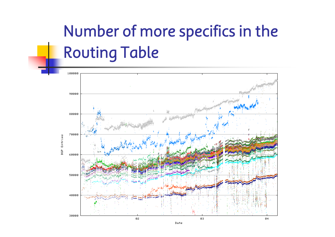# Number of more specifics in the Routing Table



Date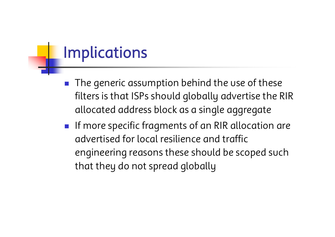## Implications

- $\mathbb{R}^n$  The generic assumption behind the use of these filters is that ISPs should globally advertise the RIR allocated address block as a single aggregate
- $\blacksquare$  If more specific fragments of an RIR allocation are advertised for local resilience and traffic engineering reasons these should be scoped such that they do not spread globally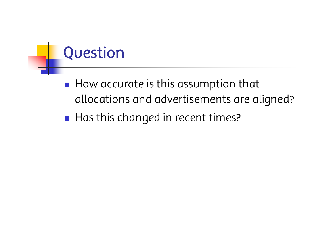# Question

- $\blacksquare$  How accurate is this assumption that allocations and advertisements are aligned?
- $\blacksquare$  Has this changed in recent times?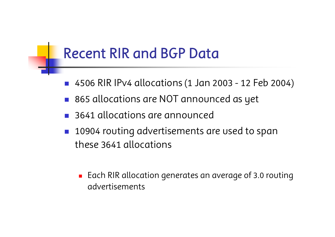### Recent RIR and BGP Data

- $\mathbb{R}^n$ 4506 RIR IPv4 allocations (1 Jan 2003 - 12 Feb 2004)
- 865 allocations are NOT announced as yet
- **3641 allocations are announced**
- $\mathbb{R}^n$  10904 routing advertisements are used to span these 3641 allocations
	- $\blacksquare$  Each RIR allocation generates an average of 3.0 routing advertisements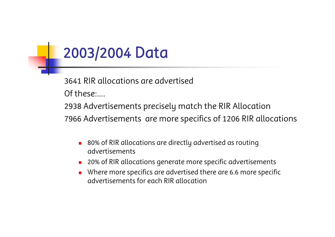## 2003/2004 Data

3641 RIR allocations are advertisedOf these:….

2938 Advertisements precisely match the RIR Allocation

7966 Advertisements are more specifics of 1206 RIR allocations

- П 80% of RIR allocations are directly advertised as routing advertisements
- П 20% of RIR allocations generate more specific advertisements
- Π Where more specifics are advertised there are 6.6 more specific advertisements for each RIR allocation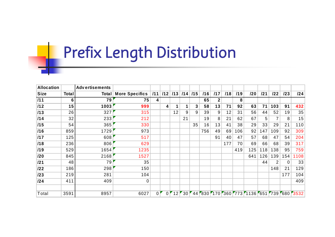# Prefix Length Distribution

| <b>Allocation</b> |       | <b>Advertisements</b> |                               |                |                  |    |             |     |     |              |     |     |     |     |     |     |                                                |
|-------------------|-------|-----------------------|-------------------------------|----------------|------------------|----|-------------|-----|-----|--------------|-----|-----|-----|-----|-----|-----|------------------------------------------------|
| <b>Size</b>       | Total |                       | <b>Total   More Specifics</b> | 111            | /12              |    | $/13$ $/14$ | 115 | /16 | /17          | /18 | /19 | 120 | 121 | 122 | 123 | 24                                             |
| /11               | 6     | 79                    | 75                            | 4              |                  |    |             |     | 65  | $\mathbf{2}$ |     | 8   |     |     |     |     |                                                |
| /12               | 15    | 1003                  | 999                           |                | 4                | 1  |             | 3   | 58  | 13           | 71  | 92  | 63  | 71  | 103 | 91  | 432                                            |
| /13               | 26    | 327                   | 315                           |                |                  | 12 | 9           | 9   | 39  | 9            | 12  | 31  | 56  | 44  | 52  | 19  | 35                                             |
| /14               | 32    | 233                   | 212                           |                |                  |    | 21          |     | 19  | 8            | 21  | 62  | 67  | 5   |     | 8   | 15                                             |
| /15               | 54    | 365                   | 330                           |                |                  |    |             | 35  | 16  | 13           | 41  | 38  | 29  | 33  | 29  | 21  | 110                                            |
| /16               | 859   | 1729                  | 973                           |                |                  |    |             |     | 756 | 49           | 69  | 106 | 92  | 147 | 109 | 92  | 309                                            |
| /17               | 125   | 608                   | 517                           |                |                  |    |             |     |     | 91           | 40  | 47  | 57  | 68  | 47  | 54  | 204                                            |
| /18               | 236   | 806                   | 629                           |                |                  |    |             |     |     |              | 177 | 70  | 69  | 66  | 68  | 39  | 317                                            |
| /19               | 529   | 1654                  | 1235                          |                |                  |    |             |     |     |              |     | 419 | 125 | 118 | 138 | 95  | 759                                            |
| /20               | 845   | 2168                  | 1527                          |                |                  |    |             |     |     |              |     |     | 641 | 126 | 139 | 154 | 1108                                           |
| 121               | 48    | 79                    | 35                            |                |                  |    |             |     |     |              |     |     |     | 44  | 2   | 0   | 33                                             |
| 122               | 186   | 298                   | 150                           |                |                  |    |             |     |     |              |     |     |     |     | 148 | 21  | 129                                            |
| 123               | 219   | 281                   | 104                           |                |                  |    |             |     |     |              |     |     |     |     |     | 177 | 104                                            |
| 124               | 411   | 409                   | 0                             |                |                  |    |             |     |     |              |     |     |     |     |     |     | 409                                            |
|                   |       |                       |                               |                |                  |    |             |     |     |              |     |     |     |     |     |     |                                                |
| Total             | 3591  | 8957                  | 6027                          | 0 <sup>F</sup> | $0^{\mathsf{r}}$ |    |             |     |     |              |     |     |     |     |     |     | 12 30 44 830 170 360 773 1136 651 739 680 3532 |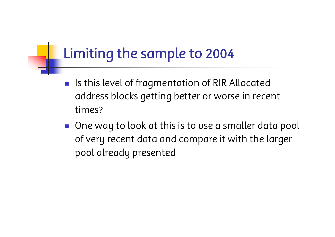### Limiting the sample to 2004

- $\left\| \cdot \right\|$  Is this level of fragmentation of RIR Allocated address blocks getting better or worse in recent times?
- **O** One way to look at this is to use a smaller data pool of very recent data and compare it with the larger pool already presented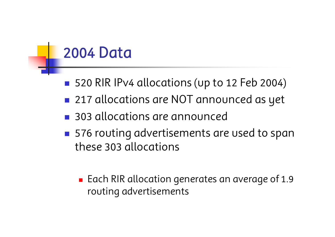## 2004 Data

- ■ 520 RIR IPv4 allocations (up to 12 Feb 2004)
- 217 allocations are NOT announced as yet
- 303 allocations are announced
- **Service Service** ■ 576 routing advertisements are used to span these 303 allocations
	- $\blacksquare$  Each RIR allocation generates an average of 1.9 routing advertisements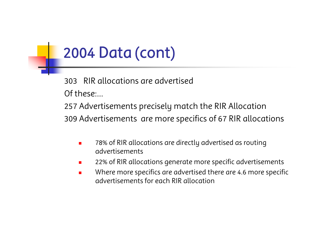## 2004 Data (cont)

303RIR allocations are advertisedOf these:…

257 Advertisements precisely match the RIR Allocation 309 Advertisements are more specifics of 67 RIR allocations

- П 78% of RIR allocations are directly advertised as routing advertisements
- $\blacksquare$ 22% of RIR allocations generate more specific advertisements
- $\mathcal{L}_{\mathcal{A}}$  Where more specifics are advertised there are 4.6 more specific advertisements for each RIR allocation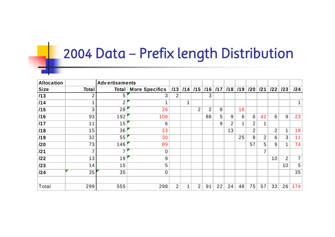## 2004 Data – Prefix length Distribution

| <b>Allocation</b> |              | <b>Advertisements</b> |                                                                  |                |   |   |                |    |    |    |                |                |                |                |                |
|-------------------|--------------|-----------------------|------------------------------------------------------------------|----------------|---|---|----------------|----|----|----|----------------|----------------|----------------|----------------|----------------|
| <b>Size</b>       | <b>Total</b> |                       | Total   More Specifics   /13   /14   /15   /16   /17   /18   /19 |                |   |   |                |    |    |    | /20            | 121            | $122$ $123$    |                | 124            |
| $\vert$ /13       |              | 5                     | 3                                                                | 2              |   |   | 3              |    |    |    |                |                |                |                |                |
| 114               |              | 2 <sup>1</sup>        |                                                                  |                | 1 |   |                |    |    |    |                |                |                |                |                |
| /15               | 3            | 28                    | 26                                                               |                |   | 2 | $\overline{2}$ | 8  |    | 16 |                |                |                |                |                |
| 1/16              | 93           | 192                   | 106                                                              |                |   |   | 86             | 5  | 9  | 6  | 6              | 42             | 6              | 9              | 23             |
| $\vert$ /17       | 11           | 15                    | 6                                                                |                |   |   |                | 9  | 2  |    | 2              |                |                |                |                |
| 1/18              | 15           | 36                    | 23                                                               |                |   |   |                |    | 13 |    | $\overline{2}$ |                | $\overline{2}$ | 1              | 18             |
| /19               | 32           | 55                    | 30                                                               |                |   |   |                |    |    | 25 | 8              | $\overline{2}$ | 6              | $\mathfrak{S}$ | 11             |
| /20               | 73           | 146                   | 89                                                               |                |   |   |                |    |    |    | 57             | 5              | 9              | 1              | 74             |
| 121               |              | 7                     | $\mathbf 0$                                                      |                |   |   |                |    |    |    |                | 7              |                |                |                |
| 122               | 13           | 19                    | 9                                                                |                |   |   |                |    |    |    |                |                | 10             | $\overline{2}$ | 7 <sup>1</sup> |
| $ 123\rangle$     | 14           | 15                    | 5                                                                |                |   |   |                |    |    |    |                |                |                | 10             | 5 <sup>1</sup> |
| 124               | 35           | 35                    | $\mathbf 0$                                                      |                |   |   |                |    |    |    |                |                |                |                | 35             |
|                   |              |                       |                                                                  |                |   |   |                |    |    |    |                |                |                |                |                |
| Total             | 299          | 555                   | 298                                                              | $\overline{2}$ | 1 | 2 | 91             | 22 | 24 | 48 | 75             | 57             | 33             | 26             | 174            |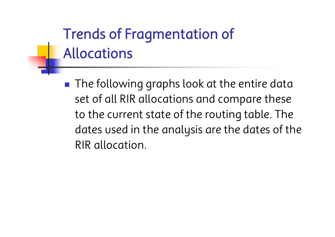# Trends of Fragmentation of Allocations

 $\blacksquare$  The following graphs look at the entire data set of all RIR allocations and compare these to the current state of the routing table. The dates used in the analysis are the dates of the RIR allocation.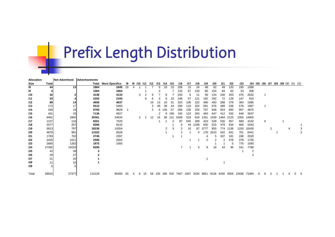## Prefix Length Distribution

| Allocation |       | <b>Not Advertised</b> | Advertisements |                             |     |   |                      |    |                            |    |     |     |                                                            |     |      |                |      |      |      |      |       |   |   |   |  |                                     |                |
|------------|-------|-----------------------|----------------|-----------------------------|-----|---|----------------------|----|----------------------------|----|-----|-----|------------------------------------------------------------|-----|------|----------------|------|------|------|------|-------|---|---|---|--|-------------------------------------|----------------|
| Size       | Total |                       |                | <b>Total More Specifics</b> | /8  |   |                      |    | /9 /10 /11 /12 /13 /14 /15 |    |     |     | /16                                                        | /17 | /18  | /19            | /20  | /21  | 122  | 123  |       |   |   |   |  | /24 /25 /26 /27 /28 /29 /30 /31 /32 |                |
| /8         | 44    | 13                    | 1864           | 1845                        | 19  |   |                      |    |                            |    | 10  | 10  | 206                                                        | 15  | 24   | 48             | 62   | 49   | 120  | 195  | 1088  |   |   |   |  |                                     |                |
| /9         |       |                       | 1064           | 1064                        |     |   |                      |    |                            |    |     |     | 132                                                        | 67  | 133  | 80             | 154  | 84   | 62   | 33   | 308   |   |   |   |  |                                     |                |
| /10        | 16    |                       | 4136           | 4133                        |     |   | 3                    |    | 9                          |    | 6   |     | 203                                                        | 6   | 11   | 56             | 124  | 240  | 353  | 476  | 2632  |   |   |   |  |                                     |                |
| /11        | 33    |                       | 2202           | 2193                        |     |   |                      | 9  |                            |    |     |     | 248                                                        | 57  | 121  | 192            | 292  | 72   | 129  | 147  | 910   |   |   |   |  |                                     |                |
| 112        | 89    | 14                    | 4656           | 4637                        |     |   |                      |    | 19                         | 13 | 10  | 31  | 323                                                        | 106 | 222  | 466            | 450  | 288  | 379  | 364  | 1985  |   |   |   |  |                                     |                |
| /13        | 172   | 17                    | 5512           | 5460                        |     |   |                      |    |                            | 49 | 39  | 44  | 290                                                        | 119 | 202  | 591            | 676  | 489  | 536  | 576  | 1897  |   |   |   |  |                                     |                |
| /14        | 340   | 19                    | 9783           | 9629                        |     |   |                      |    | 2                          |    | 145 | 57  | 266                                                        | 136 | 226  | 707            | 848  | 624  | 893  | 997  | 4875  |   |   |   |  |                                     |                |
| /15        | 431   | 33                    | 7136           | 6927                        |     |   |                      |    |                            |    |     | 198 | 182                                                        | 123 | 283  | 463            | 647  | 412  | 532  | 648  | 3637  |   |   |   |  |                                     |                |
| /16        | 9481  | 2805                  | 30361          | 24634                       |     |   | $\mathbf{2}^{\circ}$ | 2  | 12                         | 16 | 56  | 131 | 5508                                                       | 516 | 629  | 1351           | 1439 | 1464 | 2125 | 2305 | 14805 |   |   |   |  |                                     |                |
| /17        | 1227  | 116                   | 8261           | 7525                        |     |   |                      |    |                            |    |     | 2   | 87                                                         | 645 | 289  | 423            | 528  | 530  | 957  | 689  | 4102  |   | 6 |   |  |                                     |                |
| /18        | 2077  | 257                   | 9395           | 8142                        |     |   |                      |    |                            |    |     |     | 9                                                          | 44  | 1199 | 505            | 515  | 478  | 634  | 666  | 5343  |   |   |   |  |                                     |                |
| /19        | 5813  | 797                   | 18236          | 14354                       |     |   |                      |    |                            |    | 2   | 3   | 3                                                          | 10  | 87   | 3777           | 855  | 774  | 1136 | 1150 | 10430 |   |   | 2 |  |                                     | 3              |
| 120        | 4879  | 991                   | 11022          | 8328                        |     |   |                      |    |                            |    |     |     | 2                                                          |     | 4    | 176            | 2510 | 542  | 641  | 701  | 6441  |   |   |   |  |                                     | $\overline{2}$ |
| 121        | 1783  | 702                   | 2745           | 2397                        |     |   |                      |    |                            |    |     |     |                                                            |     |      |                | 5    | 337  | 181  | 196  | 2020  |   |   |   |  |                                     |                |
| 122        | 2425  | 1011                  | 2590           | 2004                        |     |   |                      |    |                            |    |     |     |                                                            |     |      | $\overline{2}$ | 2    | 2    | 578  | 278  | 1726  |   |   |   |  |                                     |                |
| 123        | 2665  | 1262                  | 1875           | 1093                        |     |   |                      |    |                            |    |     |     |                                                            |     |      |                |      |      | 5    | 775  | 1093  |   |   |   |  |                                     |                |
| 124        | 27392 | 19233                 | 8205           |                             |     |   |                      |    |                            |    |     |     |                                                            |     | 3    | 9              | 18   | 43   | 95   | 241  | 7788  |   |   |   |  |                                     |                |
| 125        | 42    | 39                    |                |                             |     |   |                      |    |                            |    |     |     |                                                            |     |      |                |      |      |      |      | 2     |   |   |   |  |                                     |                |
| /26        | 29    | 27                    |                |                             |     |   |                      |    |                            |    |     |     |                                                            |     |      |                |      |      |      |      |       |   |   |   |  |                                     |                |
| 127        | 21    | 20                    |                |                             |     |   |                      |    |                            |    |     |     |                                                            |     |      |                |      |      |      |      |       |   |   |   |  |                                     |                |
| /28        | 11    | 10 <sup>1</sup>       |                |                             |     |   |                      |    |                            |    |     |     |                                                            |     |      |                |      |      |      |      |       |   |   |   |  |                                     |                |
| /29        |       |                       |                |                             |     |   |                      |    |                            |    |     |     |                                                            |     |      |                |      |      |      |      |       |   |   |   |  |                                     |                |
| Total      | 58915 | 27377                 | 115128         | 90493                       | -20 | 4 | 6                    | 15 | 58                         |    |     |     | 105 285 502 7467 1847 3434 8851 9126 6430 9356 10438 71084 |     |      |                |      |      |      |      |       | 0 | 8 | 2 |  |                                     | 6              |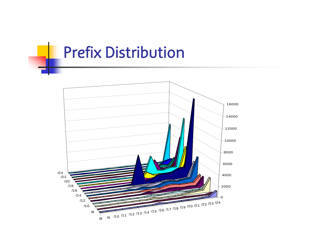### Prefix Distribution

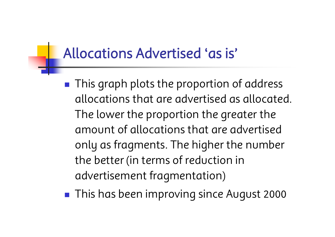#### Allocations Advertised 'as is'

- $\blacksquare$  This graph plots the proportion of address allocations that are advertised as allocated. The lower the proportion the greater the amount of allocations that are advertised only as fragments. The higher the number the better (in terms of reduction in advertisement fragmentation)
- **Service Service** This has been improving since August 2000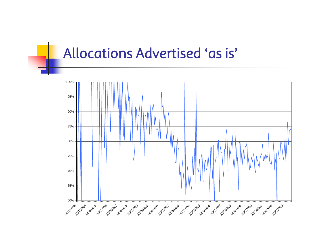#### Allocations Advertised 'as is'

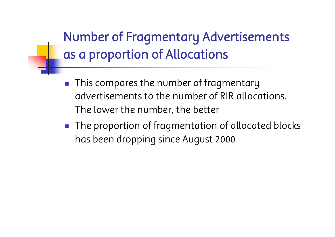Number of Fragmentary Advertisements as a proportion of Allocations

- **This compares the number of fragmentary** advertisements to the number of RIR allocations. The lower the number, the better
- **The proportion of fragmentation of allocated blocks** has been dropping since August 2000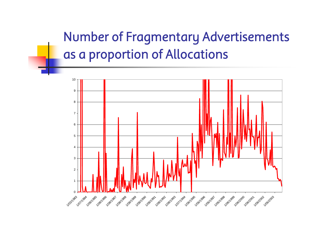### Number of Fragmentary Advertisements as a proportion of Allocations

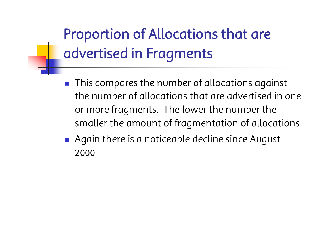# Proportion of Allocations that are advertised in Fragments

- $\mathcal{L}^{\text{max}}_{\text{max}}$  This compares the number of allocations against the number of allocations that are advertised in one or more fragments. The lower the number the smaller the amount of fragmentation of allocations
- Again there is a noticeable decline since August 2000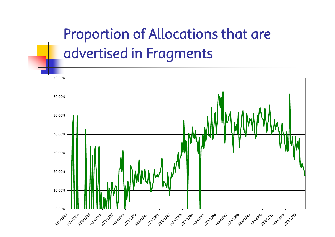# Proportion of Allocations that are advertised in Fragments

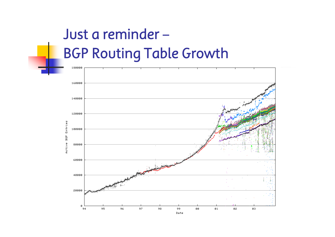# Just a reminder –BGP Routing Table Growth

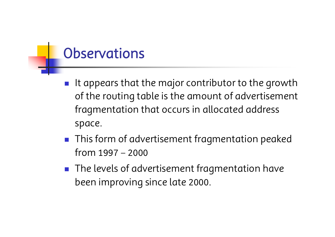### **Observations**

- $\mathcal{L}^{\text{max}}_{\text{max}}$  It appears that the major contributor to the growth of the routing table is the amount of advertisement fragmentation that occurs in allocated address space.
- This form of advertisement fragmentation peaked from 1997 –2000
- $\blacksquare$  The levels of advertisement fragmentation have been improving since late 2000.